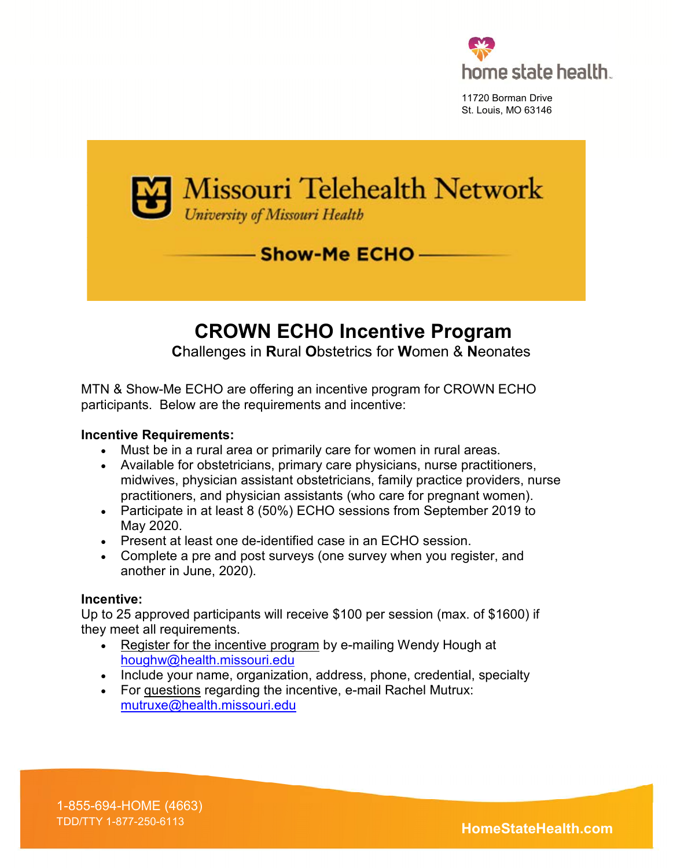

11720 Borman Drive St. Louis, MO 63146



# **CROWN ECHO Incentive Program**

 **C**hallenges in **R**ural **O**bstetrics for **W**omen & **N**eonates

MTN & Show-Me ECHO are offering an incentive program for CROWN ECHO participants. Below are the requirements and incentive:

#### **Incentive Requirements:**

- Must be in a rural area or primarily care for women in rural areas.
- Available for obstetricians, primary care physicians, nurse practitioners, midwives, physician assistant obstetricians, family practice providers, nurse practitioners, and physician assistants (who care for pregnant women).
- Participate in at least 8 (50%) ECHO sessions from September 2019 to May 2020.
- Present at least one de-identified case in an ECHO session.
- Complete a pre and post surveys (one survey when you register, and another in June, 2020).

#### **Incentive:**

Up to 25 approved participants will receive \$100 per session (max. of \$1600) if they meet all requirements.

- Register for the incentive program by e-mailing Wendy Hough at [houghw@health.missouri.edu](mailto:houghw@health.missouri.edu)
- Include your name, organization, address, phone, credential, specialty
- For questions regarding the incentive, e-mail Rachel Mutrux: [mutruxe@health.missouri.edu](mailto:mutruxe@health.missouri.edu)

1-855-694-HOME (4663)

TDD/TTY 1-877-250-6113 **HomeStateHealth.com**